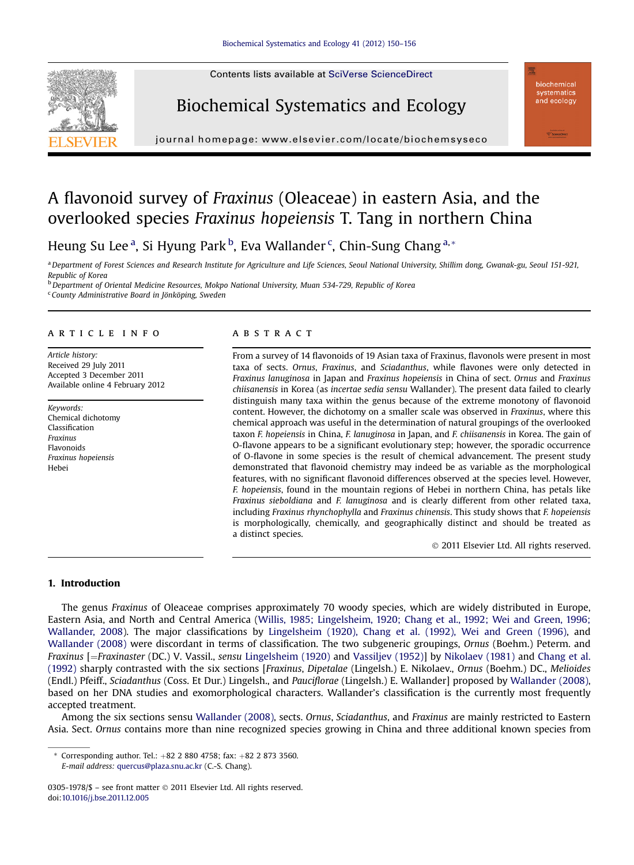





journal homepage: www.elsevier.com/locate/biochems/locate/biochems/locate/biochems/locate/biochems/locate/biochems/locate/biochems/locate/biochems/locate/biochems/locate/biochems/locate/biochems/locate/biochems/locate/bio

# A flavonoid survey of Fraxinus (Oleaceae) in eastern Asia, and the overlooked species Fraxinus hopeiensis T. Tang in northern China

Heung Su Lee<sup>a</sup>, Si Hyung Park<sup>b</sup>, Eva Wallander<sup>c</sup>, Chin-Sung Chang<sup>a,\*</sup>

<sup>a</sup> Department of Forest Sciences and Research Institute for Agriculture and Life Sciences, Seoul National University, Shillim dong, Gwanak-gu, Seoul 151-921, Republic of Korea

<sup>b</sup> Department of Oriental Medicine Resources, Mokpo National University, Muan 534-729, Republic of Korea

<sup>c</sup> County Administrative Board in Jönköping, Sweden

## article info

Article history: Received 29 July 2011 Accepted 3 December 2011 Available online 4 February 2012

Keywords: Chemical dichotomy Classification Fraxinus Flavonoids Fraxinus hopeiensis Hebei

# **ABSTRACT**

From a survey of 14 flavonoids of 19 Asian taxa of Fraxinus, flavonols were present in most taxa of sects. Ornus, Fraxinus, and Sciadanthus, while flavones were only detected in Fraxinus lanuginosa in Japan and Fraxinus hopeiensis in China of sect. Ornus and Fraxinus chiisanensis in Korea (as incertae sedia sensu Wallander). The present data failed to clearly distinguish many taxa within the genus because of the extreme monotony of flavonoid content. However, the dichotomy on a smaller scale was observed in Fraxinus, where this chemical approach was useful in the determination of natural groupings of the overlooked taxon F. hopeiensis in China, F. lanuginosa in Japan, and F. chiisanensis in Korea. The gain of O-flavone appears to be a significant evolutionary step; however, the sporadic occurrence of O-flavone in some species is the result of chemical advancement. The present study demonstrated that flavonoid chemistry may indeed be as variable as the morphological features, with no significant flavonoid differences observed at the species level. However, F. hopeiensis, found in the mountain regions of Hebei in northern China, has petals like Fraxinus sieboldiana and F. lanuginosa and is clearly different from other related taxa, including Fraxinus rhynchophylla and Fraxinus chinensis. This study shows that F. hopeiensis is morphologically, chemically, and geographically distinct and should be treated as a distinct species.

2011 Elsevier Ltd. All rights reserved.

## 1. Introduction

The genus Fraxinus of Oleaceae comprises approximately 70 woody species, which are widely distributed in Europe, Eastern Asia, and North and Central America ([Willis, 1985; Lingelsheim, 1920; Chang et al., 1992; Wei and Green, 1996;](#page-6-0) [Wallander, 2008\)](#page-6-0). The major classifications by [Lingelsheim \(1920\), Chang et al. \(1992\), Wei and Green \(1996\),](#page-6-0) and [Wallander \(2008\)](#page-6-0) were discordant in terms of classification. The two subgeneric groupings, Ornus (Boehm.) Peterm. and Fraxinus [=Fraxinaster (DC.) V. Vassil., sensu [Lingelsheim \(1920\)](#page-6-0) and [Vassiljev \(1952\)\]](#page-6-0) by [Nikolaev \(1981\)](#page-6-0) and [Chang et al.](#page-5-0) [\(1992\)](#page-5-0) sharply contrasted with the six sections [Fraxinus, Dipetalae (Lingelsh.) E. Nikolaev., Ornus (Boehm.) DC., Melioides (Endl.) Pfeiff., Sciadanthus (Coss. Et Dur.) Lingelsh., and Pauciflorae (Lingelsh.) E. Wallander] proposed by [Wallander \(2008\)](#page-6-0), based on her DNA studies and exomorphological characters. Wallander's classification is the currently most frequently accepted treatment.

Among the six sections sensu [Wallander \(2008\)](#page-6-0), sects. Ornus, Sciadanthus, and Fraxinus are mainly restricted to Eastern Asia. Sect. Ornus contains more than nine recognized species growing in China and three additional known species from

\* Corresponding author. Tel.:  $+82$  2 880 4758; fax:  $+82$  2 873 3560. E-mail address: [quercus@plaza.snu.ac.kr](mailto:quercus@plaza.snu.ac.kr) (C.-S. Chang).

<sup>0305-1978/\$ -</sup> see front matter © 2011 Elsevier Ltd. All rights reserved. doi:[10.1016/j.bse.2011.12.005](http://dx.doi.org/10.1016/j.bse.2011.12.005)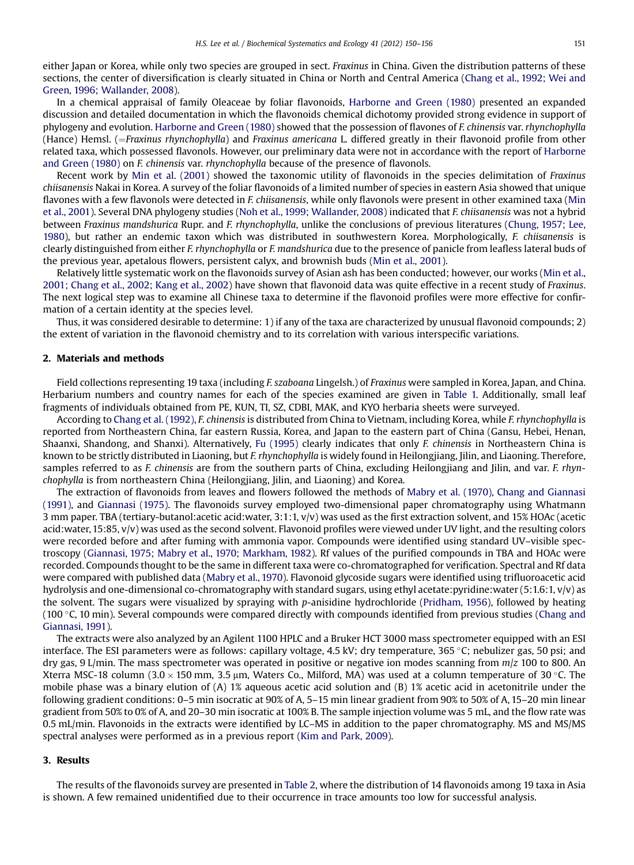either Japan or Korea, while only two species are grouped in sect. Fraxinus in China. Given the distribution patterns of these sections, the center of diversification is clearly situated in China or North and Central America [\(Chang et al., 1992; Wei and](#page-5-0) [Green, 1996; Wallander, 2008](#page-5-0)).

In a chemical appraisal of family Oleaceae by foliar flavonoids, [Harborne and Green \(1980\)](#page-6-0) presented an expanded discussion and detailed documentation in which the flavonoids chemical dichotomy provided strong evidence in support of phylogeny and evolution. [Harborne and Green \(1980\)](#page-6-0) showed that the possession of flavones of F. chinensis var. rhynchophylla (Hance) Hemsl. (=Fraxinus rhynchophylla) and Fraxinus americana L. differed greatly in their flavonoid profile from other related taxa, which possessed flavonols. However, our preliminary data were not in accordance with the report of [Harborne](#page-6-0) [and Green \(1980\)](#page-6-0) on F. chinensis var. rhynchophylla because of the presence of flavonols.

Recent work by [Min et al. \(2001\)](#page-6-0) showed the taxonomic utility of flavonoids in the species delimitation of Fraxinus chiisanensis Nakai in Korea. A survey of the foliar flavonoids of a limited number of species in eastern Asia showed that unique flavones with a few flavonols were detected in F. chiisanensis, while only flavonols were present in other examined taxa [\(Min](#page-6-0) [et al., 2001\)](#page-6-0). Several DNA phylogeny studies ([Noh et al., 1999; Wallander, 2008](#page-6-0)) indicated that F. chiisanensis was not a hybrid between Fraxinus mandshurica Rupr. and F. rhynchophylla, unlike the conclusions of previous literatures ([Chung, 1957; Lee,](#page-6-0) [1980](#page-6-0)), but rather an endemic taxon which was distributed in southwestern Korea. Morphologically, F. chiisanensis is clearly distinguished from either F. rhynchophylla or F. mandshurica due to the presence of panicle from leafless lateral buds of the previous year, apetalous flowers, persistent calyx, and brownish buds [\(Min et al., 2001\)](#page-6-0).

Relatively little systematic work on the flavonoids survey of Asian ash has been conducted; however, our works ([Min et al.,](#page-6-0) [2001; Chang et al., 2002; Kang et al., 2002](#page-6-0)) have shown that flavonoid data was quite effective in a recent study of Fraxinus. The next logical step was to examine all Chinese taxa to determine if the flavonoid profiles were more effective for confirmation of a certain identity at the species level.

Thus, it was considered desirable to determine: 1) if any of the taxa are characterized by unusual flavonoid compounds; 2) the extent of variation in the flavonoid chemistry and to its correlation with various interspecific variations.

## 2. Materials and methods

Field collections representing 19 taxa (including F. szaboana Lingelsh.) of Fraxinus were sampled in Korea, Japan, and China. Herbarium numbers and country names for each of the species examined are given in [Table 1.](#page-2-0) Additionally, small leaf fragments of individuals obtained from PE, KUN, TI, SZ, CDBI, MAK, and KYO herbaria sheets were surveyed.

According to [Chang et al. \(1992\),](#page-5-0) F. chinensis is distributed from China to Vietnam, including Korea, while F. rhynchophylla is reported from Northeastern China, far eastern Russia, Korea, and Japan to the eastern part of China (Gansu, Hebei, Henan, Shaanxi, Shandong, and Shanxi). Alternatively, [Fu \(1995\)](#page-6-0) clearly indicates that only F. chinensis in Northeastern China is known to be strictly distributed in Liaoning, but F. rhynchophylla is widely found in Heilongjiang, Jilin, and Liaoning. Therefore, samples referred to as F. chinensis are from the southern parts of China, excluding Heilongjiang and Jilin, and var. F. rhynchophylla is from northeastern China (Heilongjiang, Jilin, and Liaoning) and Korea.

The extraction of flavonoids from leaves and flowers followed the methods of [Mabry et al. \(1970\), Chang and Giannasi](#page-6-0) [\(1991\)](#page-6-0), and [Giannasi \(1975\)](#page-6-0). The flavonoids survey employed two-dimensional paper chromatography using Whatmann 3 mm paper. TBA (tertiary-butanol:acetic acid:water, 3:1:1, v/v) was used as the first extraction solvent, and 15% HOAc (acetic acid:water, 15:85, v/v) was used as the second solvent. Flavonoid profiles were viewed under UV light, and the resulting colors were recorded before and after fuming with ammonia vapor. Compounds were identified using standard UV–visible spectroscopy ([Giannasi, 1975; Mabry et al., 1970; Markham, 1982](#page-6-0)). Rf values of the purified compounds in TBA and HOAc were recorded. Compounds thought to be the same in different taxa were co-chromatographed for verification. Spectral and Rf data were compared with published data [\(Mabry et al., 1970\)](#page-6-0). Flavonoid glycoside sugars were identified using trifluoroacetic acid hydrolysis and one-dimensional co-chromatography with standard sugars, using ethyl acetate:pyridine:water (5:1.6:1, v/v) as the solvent. The sugars were visualized by spraying with p-anisidine hydrochloride ([Pridham, 1956\)](#page-6-0), followed by heating (100  $\degree$ C, 10 min). Several compounds were compared directly with compounds identified from previous studies ([Chang and](#page-5-0) [Giannasi, 1991\)](#page-5-0).

The extracts were also analyzed by an Agilent 1100 HPLC and a Bruker HCT 3000 mass spectrometer equipped with an ESI interface. The ESI parameters were as follows: capillary voltage, 4.5 kV; dry temperature, 365 °C; nebulizer gas, 50 psi; and dry gas, 9 L/min. The mass spectrometer was operated in positive or negative ion modes scanning from  $m/z$  100 to 800. An Xterra MSC-18 column (3.0  $\times$  150 mm, 3.5 µm, Waters Co., Milford, MA) was used at a column temperature of 30 °C. The mobile phase was a binary elution of (A) 1% aqueous acetic acid solution and (B) 1% acetic acid in acetonitrile under the following gradient conditions: 0–5 min isocratic at 90% of A, 5–15 min linear gradient from 90% to 50% of A, 15–20 min linear gradient from 50% to 0% of A, and 20–30 min isocratic at 100% B. The sample injection volume was 5 mL, and the flow rate was 0.5 mL/min. Flavonoids in the extracts were identified by LC–MS in addition to the paper chromatography. MS and MS/MS spectral analyses were performed as in a previous report [\(Kim and Park, 2009](#page-6-0)).

## 3. Results

The results of the flavonoids survey are presented in [Table 2,](#page-3-0) where the distribution of 14 flavonoids among 19 taxa in Asia is shown. A few remained unidentified due to their occurrence in trace amounts too low for successful analysis.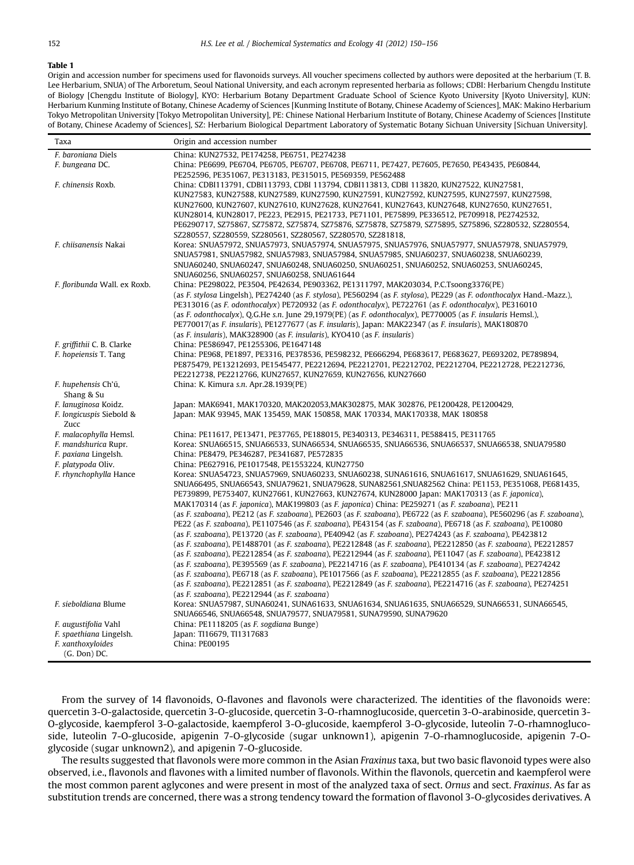#### <span id="page-2-0"></span>Table 1

Origin and accession number for specimens used for flavonoids surveys. All voucher specimens collected by authors were deposited at the herbarium (T. B. Lee Herbarium, SNUA) of The Arboretum, Seoul National University, and each acronym represented herbaria as follows; CDBI: Herbarium Chengdu Institute of Biology [Chengdu Institute of Biology], KYO: Herbarium Botany Department Graduate School of Science Kyoto University [Kyoto University], KUN: Herbarium Kunming Institute of Botany, Chinese Academy of Sciences [Kunming Institute of Botany, Chinese Academy of Sciences], MAK: Makino Herbarium Tokyo Metropolitan University [Tokyo Metropolitan University], PE: Chinese National Herbarium Institute of Botany, Chinese Academy of Sciences [Institute of Botany, Chinese Academy of Sciences], SZ: Herbarium Biological Department Laboratory of Systematic Botany Sichuan University [Sichuan University].

| Taxa                                            | Origin and accession number                                                                                                                                        |
|-------------------------------------------------|--------------------------------------------------------------------------------------------------------------------------------------------------------------------|
| F. baroniana Diels                              | China: KUN27532, PE174258, PE6751, PE274238                                                                                                                        |
| F. bungeana DC.                                 | China: PE6699, PE6704, PE6705, PE6707, PE6708, PE6711, PE7427, PE7605, PE7650, PE43435, PE60844,                                                                   |
|                                                 | PE252596, PE351067, PE313183, PE315015, PE569359, PE562488                                                                                                         |
| F. chinensis Roxb.                              | China: CDBI113791, CDBI113793, CDBI 113794, CDBI113813, CDBI 113820, KUN27522, KUN27581,                                                                           |
|                                                 | KUN27583, KUN27588, KUN27589, KUN27590, KUN27591, KUN27592, KUN27595, KUN27597, KUN27598,                                                                          |
|                                                 | KUN27600, KUN27607, KUN27610, KUN27628, KUN27641, KUN27643, KUN27648, KUN27650, KUN27651,                                                                          |
|                                                 | KUN28014, KUN28017, PE223, PE2915, PE21733, PE71101, PE75899, PE336512, PE709918, PE2742532,                                                                       |
|                                                 | PE6290717, SZ75867, SZ75872, SZ75874, SZ75876, SZ75878, SZ75879, SZ75895, SZ75896, SZ280532, SZ280554,                                                             |
|                                                 | SZ280557, SZ280559, SZ280561, SZ280567, SZ280570, SZ281818,                                                                                                        |
| F. chiisanensis Nakai                           | Korea: SNUA57972, SNUA57973, SNUA57974, SNUA57975, SNUA57976, SNUA57977, SNUA57978, SNUA57979,                                                                     |
|                                                 | SNUA57981, SNUA57982, SNUA57983, SNUA57984, SNUA57985, SNUA60237, SNUA60238, SNUA60239,                                                                            |
|                                                 | SNUA60240, SNUA60247, SNUA60248, SNUA60250, SNUA60251, SNUA60252, SNUA60253, SNUA60245,                                                                            |
|                                                 | SNUA60256, SNUA60257, SNUA60258, SNUA61644                                                                                                                         |
| F. floribunda Wall. ex Roxb.                    | China: PE298022, PE3504, PE42634, PE903362, PE1311797, MAK203034, P.C.Tsoong3376(PE)                                                                               |
|                                                 | (as F. stylosa Lingelsh), PE274240 (as F. stylosa), PE560294 (as F. stylosa), PE229 (as F. odonthocalyx Hand.-Mazz.),                                              |
|                                                 | PE313016 (as F. odonthocalyx) PE720932 (as F. odonthocalyx), PE722761 (as F. odonthocalyx), PE316010                                                               |
|                                                 | (as F. odonthocalyx), Q.G.He s.n. June 29,1979(PE) (as F. odonthocalyx), PE770005 (as F. insularis Hemsl.),                                                        |
|                                                 | PE770017(as F. insularis), PE1277677 (as F. insularis), Japan: MAK22347 (as F. insularis), MAK180870                                                               |
|                                                 | (as F. insularis), MAK328900 (as F. insularis), KYO410 (as F. insularis)                                                                                           |
| F. griffithii C. B. Clarke                      | China: PE586947, PE1255306, PE1647148                                                                                                                              |
| F. hopeiensis T. Tang                           | China: PE968, PE1897, PE3316, PE378536, PE598232, PE666294, PE683617, PE683627, PE693202, PE789894,                                                                |
|                                                 | PE875479, PE13212693, PE1545477, PE2212694, PE2212701, PE2212702, PE2212704, PE2212728, PE2212736,<br>PE2212738, PE2212766, KUN27657, KUN27659, KUN27656, KUN27660 |
| F. hupehensis Ch'ű,                             | China: K. Kimura s.n. Apr.28.1939(PE)                                                                                                                              |
| Shang & Su                                      |                                                                                                                                                                    |
| F. lanuginosa Koidz.                            | Japan: MAK6941, MAK170320, MAK202053,MAK302875, MAK 302876, PE1200428, PE1200429,                                                                                  |
| F. longicuspis Siebold &                        | Japan: MAK 93945, MAK 135459, MAK 150858, MAK 170334, MAK170338, MAK 180858                                                                                        |
| Zucc                                            |                                                                                                                                                                    |
| F. malacophylla Hemsl.                          | China: PE11617, PE13471, PE37765, PE188015, PE340313, PE346311, PE588415, PE311765                                                                                 |
| F. mandshurica Rupr.                            | Korea: SNUA66515, SNUA66533, SUNA66534, SNUA66535, SNUA66536, SNUA66537, SNUA66538, SNUA79580                                                                      |
| F. paxiana Lingelsh.                            | China: PE8479, PE346287, PE341687, PE572835                                                                                                                        |
| F. platypoda Oliv.                              | China: PE627916, PE1017548, PE1553224, KUN27750                                                                                                                    |
| F. rhynchophylla Hance                          | Korea: SNUA54723, SNUA57969, SNUA60233, SNUA60238, SUNA61616, SNUA61617, SNUA61629, SNUA61645,                                                                     |
|                                                 | SNUA66495, SNUA66543, SNUA79621, SNUA79628, SUNA82561, SNUA82562 China: PE1153, PE351068, PE681435,                                                                |
|                                                 | PE739899, PE753407, KUN27661, KUN27663, KUN27674, KUN28000 Japan: MAK170313 (as F. japonica),                                                                      |
|                                                 | MAK170314 (as F. japonica), MAK199803 (as F. japonica) China: PE259271 (as F. szaboana), PE211                                                                     |
|                                                 | (as F. szaboana), PE212 (as F. szaboana), PE2603 (as F. szaboana), PE6722 (as F. szaboana), PE560296 (as F. szaboana),                                             |
|                                                 | PE22 (as F. szaboana), PE1107546 (as F. szaboana), PE43154 (as F. szaboana), PE6718 (as F. szaboana), PE10080                                                      |
|                                                 | (as F. szaboana), PE13720 (as F. szaboana), PE40942 (as F. szaboana), PE274243 (as F. szaboana), PE423812                                                          |
|                                                 | (as F. szaboana), PE1488701 (as F. szaboana), PE2212848 (as F. szaboana), PE2212850 (as F. szaboana), PE2212857                                                    |
|                                                 | (as F. szaboana), PE2212854 (as F. szaboana), PE2212944 (as F. szaboana), PE11047 (as F. szaboana), PE423812                                                       |
|                                                 | (as F. szaboana), PE395569 (as F. szaboana), PE2214716 (as F. szaboana), PE410134 (as F. szaboana), PE274242                                                       |
|                                                 | (as F. szaboana), PE6718 (as F. szaboana), PE1017566 (as F. szaboana), PE2212855 (as F. szaboana), PE2212856                                                       |
|                                                 | (as F. szaboana), PE2212851 (as F. szaboana), PE2212849 (as F. szaboana), PE2214716 (as F. szaboana), PE274251                                                     |
|                                                 | (as F. szaboana), PE2212944 (as F. szaboana)                                                                                                                       |
| F. sieboldiana Blume                            | Korea: SNUA57987, SUNA60241, SUNA61633, SNUA61634, SNUA61635, SNUA66529, SUNA66531, SUNA66545,                                                                     |
|                                                 | SNUA66546, SNUA66548, SNUA79577, SNUA79581, SUNA79590, SUNA79620                                                                                                   |
| F. augustifolia Vahl<br>F. spaethiana Lingelsh. | China: PE1118205 (as F. sogdiana Bunge)<br>Japan: TI16679, TI1317683                                                                                               |
| F. xanthoxyloides                               | China: PE00195                                                                                                                                                     |
| (G. Don) DC.                                    |                                                                                                                                                                    |
|                                                 |                                                                                                                                                                    |

From the survey of 14 flavonoids, O-flavones and flavonols were characterized. The identities of the flavonoids were: quercetin 3-O-galactoside, quercetin 3-O-glucoside, quercetin 3-O-rhamnoglucoside, quercetin 3-O-arabinoside, quercetin 3- O-glycoside, kaempferol 3-O-galactoside, kaempferol 3-O-glucoside, kaempferol 3-O-glycoside, luteolin 7-O-rhamnoglucoside, luteolin 7-O-glucoside, apigenin 7-O-glycoside (sugar unknown1), apigenin 7-O-rhamnoglucoside, apigenin 7-Oglycoside (sugar unknown2), and apigenin 7-O-glucoside.

The results suggested that flavonols were more common in the Asian Fraxinus taxa, but two basic flavonoid types were also observed, i.e., flavonols and flavones with a limited number of flavonols. Within the flavonols, quercetin and kaempferol were the most common parent aglycones and were present in most of the analyzed taxa of sect. Ornus and sect. Fraxinus. As far as substitution trends are concerned, there was a strong tendency toward the formation of flavonol 3-O-glycosides derivatives. A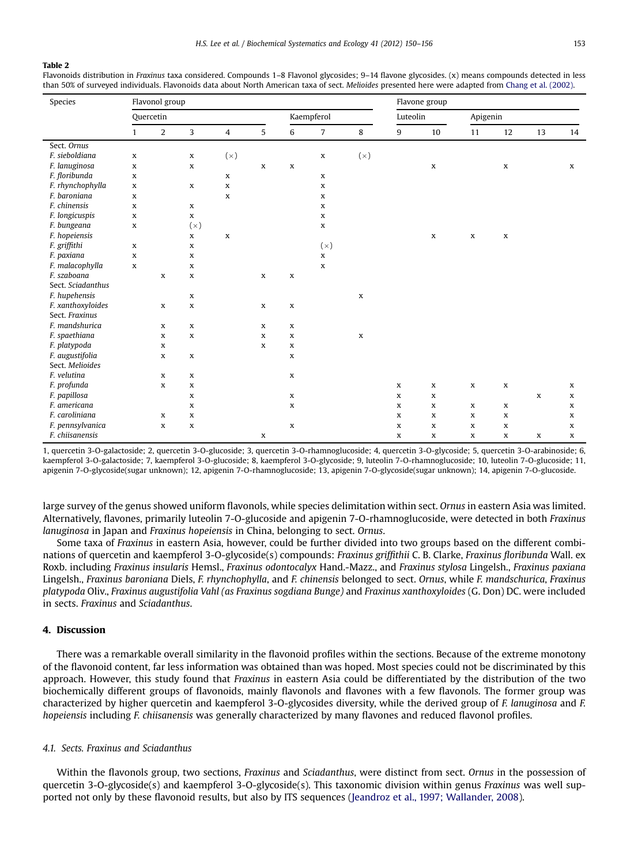#### <span id="page-3-0"></span>Table 2

Flavonoids distribution in Fraxinus taxa considered. Compounds 1–8 Flavonol glycosides: 9–14 flavone glycosides. (x) means compounds detected in less than 50% of surveyed individuals. Flavonoids data about North American taxa of sect. Melioides presented here were adapted from [Chang et al. \(2002\)](#page-6-0).

| Species           | Flavonol group |                |              |                |             |             |                |             | Flavone group |             |              |             |             |    |
|-------------------|----------------|----------------|--------------|----------------|-------------|-------------|----------------|-------------|---------------|-------------|--------------|-------------|-------------|----|
|                   |                | Quercetin      |              |                |             | Kaempferol  |                |             | Luteolin      |             | Apigenin     |             |             |    |
|                   | $\mathbf{1}$   | $\overline{a}$ | 3            | $\overline{4}$ | 5           | 6           | $\overline{7}$ | 8           | 9             | 10          | 11           | 12          | 13          | 14 |
| Sect. Ornus       |                |                |              |                |             |             |                |             |               |             |              |             |             |    |
| F. sieboldiana    | $\mathbf x$    |                | $\mathbf x$  | (x)            |             |             | $\mathbf x$    | (x)         |               |             |              |             |             |    |
| F. lanuginosa     | $\mathbf x$    |                | $\mathbf{x}$ |                | $\mathbf x$ | $\mathbf x$ |                |             |               | $\mathbf x$ |              | $\mathbf x$ |             | X  |
| F. floribunda     | X              |                |              | $\mathbf{x}$   |             |             | X              |             |               |             |              |             |             |    |
| F. rhynchophylla  | X              |                | $\mathbf x$  | $\mathbf x$    |             |             | X              |             |               |             |              |             |             |    |
| F. baroniana      | X              |                |              | $\mathbf x$    |             |             | $\mathbf x$    |             |               |             |              |             |             |    |
| F. chinensis      | X              |                | $\mathbf{x}$ |                |             |             | X              |             |               |             |              |             |             |    |
| F. longicuspis    | X              |                | $\mathbf x$  |                |             |             | X              |             |               |             |              |             |             |    |
| F. bungeana       | $\mathbf x$    |                | (x)          |                |             |             | $\mathbf x$    |             |               |             |              |             |             |    |
| F. hopeiensis     |                |                | $\mathbf{x}$ | $\mathbf{x}$   |             |             |                |             |               | $\mathbf x$ | $\mathbf x$  | $\mathbf x$ |             |    |
| F. griffithi      | X              |                | $\mathbf x$  |                |             |             | (x)            |             |               |             |              |             |             |    |
| F. paxiana        | X              |                | $\mathbf x$  |                |             |             | $\mathbf x$    |             |               |             |              |             |             |    |
| F. malacophylla   | $\mathbf x$    |                | $\mathbf x$  |                |             |             | $\mathbf{x}$   |             |               |             |              |             |             |    |
| F. szaboana       |                | $\mathbf{x}$   | $\mathbf{x}$ |                | $\mathbf x$ | $\mathbf x$ |                |             |               |             |              |             |             |    |
| Sect. Sciadanthus |                |                |              |                |             |             |                |             |               |             |              |             |             |    |
| F. hupehensis     |                |                | $\mathbf x$  |                |             |             |                | $\mathbf x$ |               |             |              |             |             |    |
| F. xanthoxyloides |                | $\mathbf x$    | $\mathbf x$  |                | $\mathbf x$ | $\mathbf x$ |                |             |               |             |              |             |             |    |
| Sect. Fraxinus    |                |                |              |                |             |             |                |             |               |             |              |             |             |    |
| F. mandshurica    |                | $\mathbf x$    | $\mathbf x$  |                | $\mathbf x$ | $\mathbf x$ |                |             |               |             |              |             |             |    |
| F. spaethiana     |                | $\mathbf x$    | $\mathbf x$  |                | $\mathbf x$ | $\mathbf x$ |                | $\mathbf x$ |               |             |              |             |             |    |
| F. platypoda      |                | $\mathbf x$    |              |                | $\mathbf x$ | $\mathbf x$ |                |             |               |             |              |             |             |    |
| F. augustifolia   |                | $\mathbf x$    | $\mathbf x$  |                |             | x           |                |             |               |             |              |             |             |    |
| Sect. Melioides   |                |                |              |                |             |             |                |             |               |             |              |             |             |    |
| F. velutina       |                | x              | X            |                |             | X           |                |             |               |             |              |             |             |    |
| F. profunda       |                | $\mathbf x$    | $\mathbf{x}$ |                |             |             |                |             | $\mathbf x$   | $\mathbf x$ | $\mathbf x$  | $\mathbf x$ |             | x  |
| F. papillosa      |                |                | $\mathbf{x}$ |                |             | $\mathbf x$ |                |             | $\mathbf{x}$  | X           |              |             | X           | X  |
| F. americana      |                |                | $\mathbf x$  |                |             | $\mathbf x$ |                |             | X             | x           | $\mathbf x$  | x           |             | x  |
| F. caroliniana    |                | X              | $\mathbf x$  |                |             |             |                |             | X             | x           | X            | X           |             | X  |
| F. pennsylvanica  |                | $\mathbf x$    | $\mathbf x$  |                |             | $\mathbf x$ |                |             | $\mathbf x$   | x           | $\mathbf{x}$ | $\mathbf x$ |             | x  |
| F. chiisanensis   |                |                |              |                | $\mathbf x$ |             |                |             | $\mathbf x$   | x           | $\mathbf x$  | x           | $\mathbf x$ | x  |

1, quercetin 3-O-galactoside; 2, quercetin 3-O-glucoside; 3, quercetin 3-O-rhamnoglucoside; 4, quercetin 3-O-glycoside; 5, quercetin 3-O-arabinoside; 6, kaempferol 3-O-galactoside; 7, kaempferol 3-O-glucoside; 8, kaempferol 3-O-glycoside; 9, luteolin 7-O-rhamnoglucoside; 10, luteolin 7-O-glucoside; 11, apigenin 7-O-glycoside(sugar unknown); 12, apigenin 7-O-rhamnoglucoside; 13, apigenin 7-O-glycoside(sugar unknown); 14, apigenin 7-O-glucoside.

large survey of the genus showed uniform flavonols, while species delimitation within sect. Ornus in eastern Asia was limited. Alternatively, flavones, primarily luteolin 7-O-glucoside and apigenin 7-O-rhamnoglucoside, were detected in both Fraxinus lanuginosa in Japan and Fraxinus hopeiensis in China, belonging to sect. Ornus.

Some taxa of Fraxinus in eastern Asia, however, could be further divided into two groups based on the different combinations of quercetin and kaempferol 3-O-glycoside(s) compounds: Fraxinus griffithii C. B. Clarke, Fraxinus floribunda Wall. ex Roxb. including Fraxinus insularis Hemsl., Fraxinus odontocalyx Hand.-Mazz., and Fraxinus stylosa Lingelsh., Fraxinus paxiana Lingelsh., Fraxinus baroniana Diels, F. rhynchophylla, and F. chinensis belonged to sect. Ornus, while F. mandschurica, Fraxinus platypoda Oliv., Fraxinus augustifolia Vahl (as Fraxinus sogdiana Bunge) and Fraxinus xanthoxyloides (G. Don) DC. were included in sects. Fraxinus and Sciadanthus.

# 4. Discussion

There was a remarkable overall similarity in the flavonoid profiles within the sections. Because of the extreme monotony of the flavonoid content, far less information was obtained than was hoped. Most species could not be discriminated by this approach. However, this study found that Fraxinus in eastern Asia could be differentiated by the distribution of the two biochemically different groups of flavonoids, mainly flavonols and flavones with a few flavonols. The former group was characterized by higher quercetin and kaempferol 3-O-glycosides diversity, while the derived group of F. lanuginosa and F. hopeiensis including F. chiisanensis was generally characterized by many flavones and reduced flavonol profiles.

### 4.1. Sects. Fraxinus and Sciadanthus

Within the flavonols group, two sections, Fraxinus and Sciadanthus, were distinct from sect. Ornus in the possession of quercetin 3-O-glycoside(s) and kaempferol 3-O-glycoside(s). This taxonomic division within genus Fraxinus was well supported not only by these flavonoid results, but also by ITS sequences [\(Jeandroz et al., 1997; Wallander, 2008\)](#page-6-0).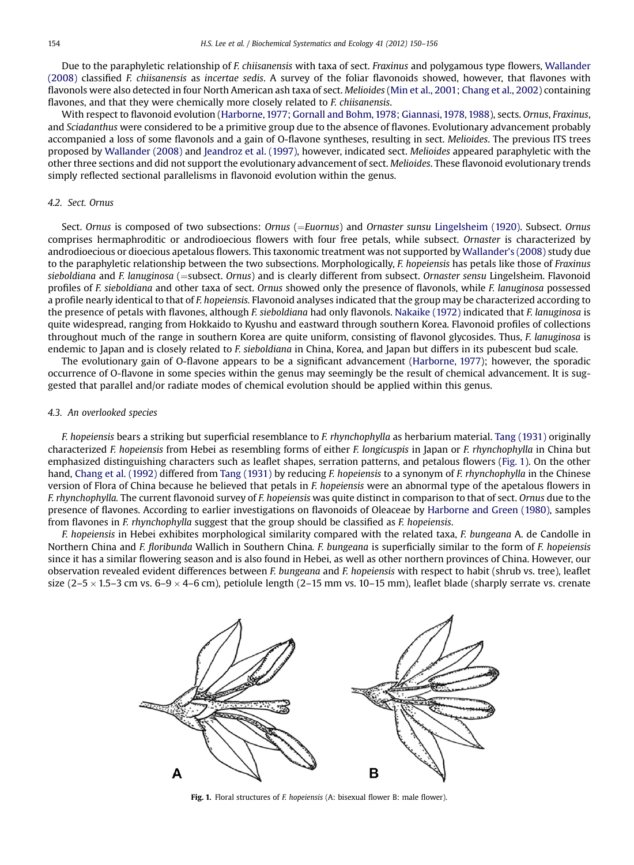Due to the paraphyletic relationship of F. chiisanensis with taxa of sect. Fraxinus and polygamous type flowers, [Wallander](#page-6-0) [\(2008\)](#page-6-0) classified F. chiisanensis as incertae sedis. A survey of the foliar flavonoids showed, however, that flavones with flavonols were also detected in four North American ash taxa of sect. Melioides [\(Min et al., 2001; Chang et al., 2002\)](#page-6-0) containing flavones, and that they were chemically more closely related to *F. chiisanensis*.

With respect to flavonoid evolution ([Harborne, 1977; Gornall and Bohm, 1978; Giannasi, 1978, 1988\)](#page-6-0), sects. Ornus, Fraxinus, and Sciadanthus were considered to be a primitive group due to the absence of flavones. Evolutionary advancement probably accompanied a loss of some flavonols and a gain of O-flavone syntheses, resulting in sect. Melioides. The previous ITS trees proposed by [Wallander \(2008\)](#page-6-0) and [Jeandroz et al. \(1997\)](#page-6-0), however, indicated sect. Melioides appeared paraphyletic with the other three sections and did not support the evolutionary advancement of sect. Melioides. These flavonoid evolutionary trends simply reflected sectional parallelisms in flavonoid evolution within the genus.

## 4.2. Sect. Ornus

Sect. Ornus is composed of two subsections: Ornus (=Euornus) and Ornaster sunsu [Lingelsheim \(1920\).](#page-6-0) Subsect. Ornus comprises hermaphroditic or androdioecious flowers with four free petals, while subsect. Ornaster is characterized by androdioecious or dioecious apetalous flowers. This taxonomic treatment was not supported by [Wallander](#page-6-0)'s (2008) study due to the paraphyletic relationship between the two subsections. Morphologically, F. hopeiensis has petals like those of Fraxinus sieboldiana and F. lanuginosa (=subsect. Ornus) and is clearly different from subsect. Ornaster sensu Lingelsheim. Flavonoid profiles of F. sieboldiana and other taxa of sect. Ornus showed only the presence of flavonols, while F. lanuginosa possessed a profile nearly identical to that of F. hopeiensis. Flavonoid analyses indicated that the group may be characterized according to the presence of petals with flavones, although F. sieboldiana had only flavonols. [Nakaike \(1972\)](#page-6-0) indicated that F. lanuginosa is quite widespread, ranging from Hokkaido to Kyushu and eastward through southern Korea. Flavonoid profiles of collections throughout much of the range in southern Korea are quite uniform, consisting of flavonol glycosides. Thus, F. lanuginosa is endemic to Japan and is closely related to F. sieboldiana in China, Korea, and Japan but differs in its pubescent bud scale.

The evolutionary gain of O-flavone appears to be a significant advancement [\(Harborne, 1977](#page-6-0)); however, the sporadic occurrence of O-flavone in some species within the genus may seemingly be the result of chemical advancement. It is suggested that parallel and/or radiate modes of chemical evolution should be applied within this genus.

## 4.3. An overlooked species

F. hopeiensis bears a striking but superficial resemblance to F. rhynchophylla as herbarium material. [Tang \(1931\)](#page-6-0) originally characterized F. hopeiensis from Hebei as resembling forms of either F. longicuspis in Japan or F. rhynchophylla in China but emphasized distinguishing characters such as leaflet shapes, serration patterns, and petalous flowers (Fig. 1). On the other hand, [Chang et al. \(1992\)](#page-5-0) differed from [Tang \(1931\)](#page-6-0) by reducing F. hopeiensis to a synonym of F. rhynchophylla in the Chinese version of Flora of China because he believed that petals in F. hopeiensis were an abnormal type of the apetalous flowers in F. rhynchophylla. The current flavonoid survey of F. hopeiensis was quite distinct in comparison to that of sect. Ornus due to the presence of flavones. According to earlier investigations on flavonoids of Oleaceae by [Harborne and Green \(1980\)](#page-6-0), samples from flavones in *F. rhynchophylla* suggest that the group should be classified as *F. hopeiensis*.

F. hopeiensis in Hebei exhibites morphological similarity compared with the related taxa, F. bungeana A. de Candolle in Northern China and F. floribunda Wallich in Southern China. F. bungeana is superficially similar to the form of F. hopeiensis since it has a similar flowering season and is also found in Hebei, as well as other northern provinces of China. However, our observation revealed evident differences between F. bungeana and F. hopeiensis with respect to habit (shrub vs. tree), leaflet size (2–5  $\times$  1.5–3 cm vs. 6–9  $\times$  4–6 cm), petiolule length (2–15 mm vs. 10–15 mm), leaflet blade (sharply serrate vs. crenate



Fig. 1. Floral structures of F. hopeiensis (A: bisexual flower B: male flower).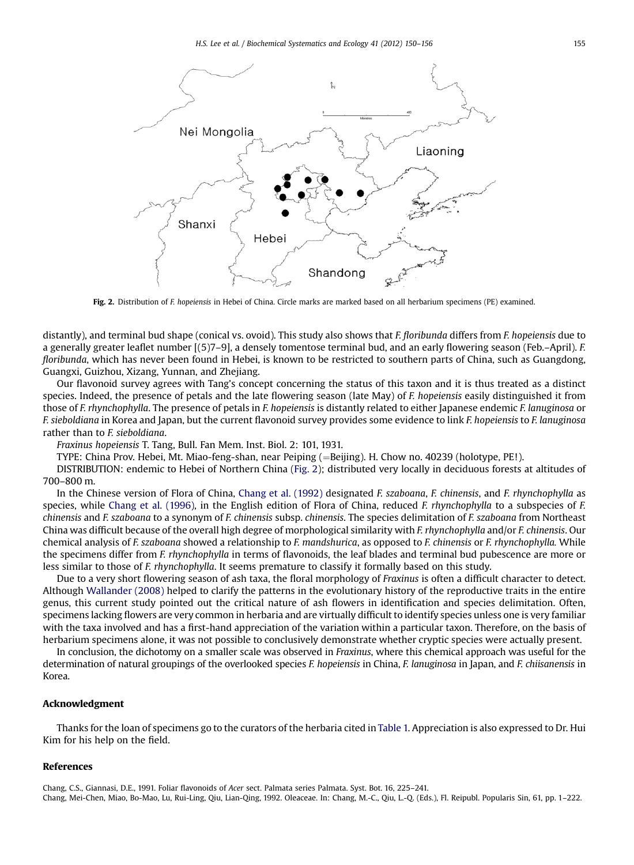<span id="page-5-0"></span>

Fig. 2. Distribution of F. hopeiensis in Hebei of China. Circle marks are marked based on all herbarium specimens (PE) examined.

distantly), and terminal bud shape (conical vs. ovoid). This study also shows that F. floribunda differs from F. hopeiensis due to a generally greater leaflet number [(5)7–9], a densely tomentose terminal bud, and an early flowering season (Feb.–April). F. floribunda, which has never been found in Hebei, is known to be restricted to southern parts of China, such as Guangdong, Guangxi, Guizhou, Xizang, Yunnan, and Zhejiang.

Our flavonoid survey agrees with Tang's concept concerning the status of this taxon and it is thus treated as a distinct species. Indeed, the presence of petals and the late flowering season (late May) of F. hopeiensis easily distinguished it from those of F. rhynchophylla. The presence of petals in F. hopeiensis is distantly related to either Japanese endemic F. lanuginosa or F. sieboldiana in Korea and Japan, but the current flavonoid survey provides some evidence to link F. hopeiensis to F. lanuginosa rather than to F. sieboldiana.

Fraxinus hopeiensis T. Tang, Bull. Fan Mem. Inst. Biol. 2: 101, 1931.

TYPE: China Prov. Hebei, Mt. Miao-feng-shan, near Peiping (=Beijing). H. Chow no. 40239 (holotype, PE!).

DISTRIBUTION: endemic to Hebei of Northern China (Fig. 2); distributed very locally in deciduous forests at altitudes of 700–800 m.

In the Chinese version of Flora of China, Chang et al. (1992) designated F. szaboana, F. chinensis, and F. rhynchophylla as species, while [Chang et al. \(1996\),](#page-6-0) in the English edition of Flora of China, reduced F. rhynchophylla to a subspecies of F. chinensis and F. szaboana to a synonym of F. chinensis subsp. chinensis. The species delimitation of F. szaboana from Northeast China was difficult because of the overall high degree of morphological similarity with F. rhynchophylla and/or F. chinensis. Our chemical analysis of F. szaboana showed a relationship to F. mandshurica, as opposed to F. chinensis or F. rhynchophylla. While the specimens differ from F. rhynchophylla in terms of flavonoids, the leaf blades and terminal bud pubescence are more or less similar to those of F. rhynchophylla. It seems premature to classify it formally based on this study.

Due to a very short flowering season of ash taxa, the floral morphology of Fraxinus is often a difficult character to detect. Although [Wallander \(2008\)](#page-6-0) helped to clarify the patterns in the evolutionary history of the reproductive traits in the entire genus, this current study pointed out the critical nature of ash flowers in identification and species delimitation. Often, specimens lacking flowers are very common in herbaria and are virtually difficult to identify species unless one is very familiar with the taxa involved and has a first-hand appreciation of the variation within a particular taxon. Therefore, on the basis of herbarium specimens alone, it was not possible to conclusively demonstrate whether cryptic species were actually present.

In conclusion, the dichotomy on a smaller scale was observed in Fraxinus, where this chemical approach was useful for the determination of natural groupings of the overlooked species F. hopeiensis in China, F. lanuginosa in Japan, and F. chiisanensis in Korea.

## Acknowledgment

Thanks for the loan of specimens go to the curators of the herbaria cited in [Table 1.](#page-2-0) Appreciation is also expressed to Dr. Hui Kim for his help on the field.

## References

Chang, C.S., Giannasi, D.E., 1991. Foliar flavonoids of Acer sect. Palmata series Palmata. Syst. Bot. 16, 225–241. Chang, Mei-Chen, Miao, Bo-Mao, Lu, Rui-Ling, Qiu, Lian-Qing, 1992. Oleaceae. In: Chang, M.-C., Qiu, L.-Q. (Eds.), Fl. Reipubl. Popularis Sin, 61, pp. 1–222.